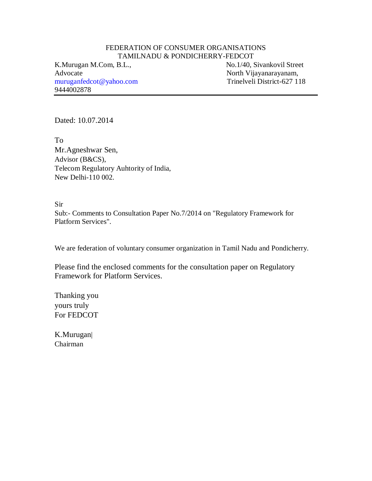#### FEDERATION OF CONSUMER ORGANISATIONS TAMILNADU & PONDICHERRY-FEDCOT

Advocate North Vijayanarayanam, [muruganfedcot@yahoo.com](mailto:muruganfedcot@yahoo.com) 9444002878

K.Murugan M.Com, B.L., No.1/40, Sivankovil Street

Dated: 10.07.2014

To Mr.Agneshwar Sen, Advisor (B&CS), Telecom Regulatory Auhtority of India, New Delhi-110 002.

Sir Sub:- Comments to Consultation Paper No.7/2014 on "Regulatory Framework for Platform Services".

We are federation of voluntary consumer organization in Tamil Nadu and Pondicherry.

Please find the enclosed comments for the consultation paper on Regulatory Framework for Platform Services.

Thanking you yours truly For FEDCOT

K.Murugan| Chairman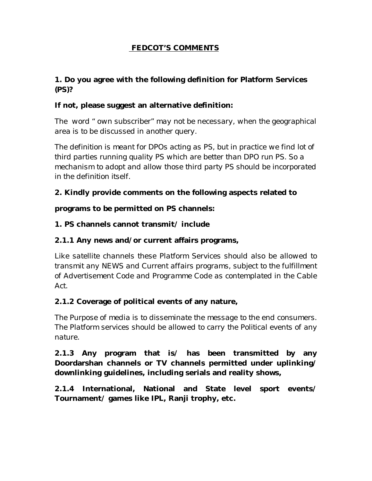# **FEDCOT'S COMMENTS**

# **1. Do you agree with the following definition for Platform Services (PS)?**

# **If not, please suggest an alternative definition:**

*The word " own subscriber" may not be necessary, when the geographical area is to be discussed in another query.*

*The definition is meant for DPOs acting as PS, but in practice we find lot of third parties running quality PS which are better than DPO run PS. So a mechanism to adopt and allow those third party PS should be incorporated in the definition itself.*

# **2. Kindly provide comments on the following aspects related to**

**programs to be permitted on PS channels:**

# **1. PS channels cannot transmit/ include**

# **2.1.1 Any news and/or current affairs programs,**

*Like satellite channels these Platform Services should also be allowed to transmit any NEWS and Current affairs programs, subject to the fulfillment of Advertisement Code and Programme Code as contemplated in the Cable Act.*

# **2.1.2 Coverage of political events of any nature,**

*The Purpose of media is to disseminate the message to the end consumers. The Platform services should be allowed to carry the Political events of any nature.*

**2.1.3 Any program that is/ has been transmitted by any Doordarshan channels or TV channels permitted under uplinking/ downlinking guidelines, including serials and reality shows,**

**2.1.4 International, National and State level sport events/ Tournament/ games like IPL, Ranji trophy, etc.**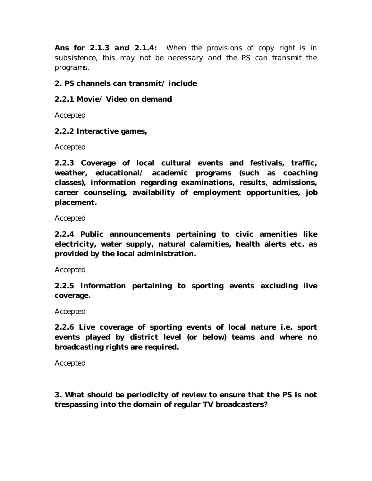*Ans for 2.1.3 and 2.1.4: When the provisions of copy right is in subsistence, this may not be necessary and the PS can transmit the programs.*

## **2. PS channels can transmit/ include**

## **2.2.1 Movie/ Video on demand**

*Accepted*

### **2.2.2 Interactive games,**

*Accepted*

**2.2.3 Coverage of local cultural events and festivals, traffic, weather, educational/ academic programs (such as coaching classes), information regarding examinations, results, admissions, career counseling, availability of employment opportunities, job placement.**

### *Accepted*

**2.2.4 Public announcements pertaining to civic amenities like electricity, water supply, natural calamities, health alerts etc. as provided by the local administration.**

### *Accepted*

**2.2.5 Information pertaining to sporting events excluding live coverage.**

### *Accepted*

**2.2.6 Live coverage of sporting events of local nature i.e. sport events played by district level (or below) teams and where no broadcasting rights are required.**

#### *Accepted*

**3. What should be periodicity of review to ensure that the PS is not trespassing into the domain of regular TV broadcasters?**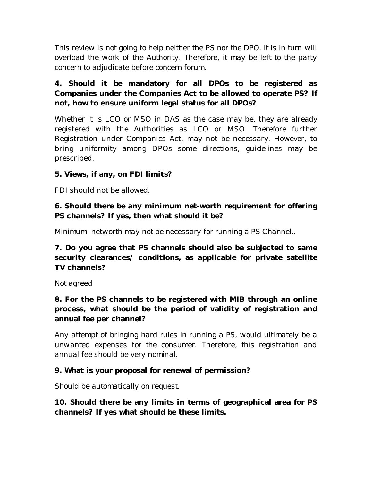*This review is not going to help neither the PS nor the DPO. It is in turn will overload the work of the Authority. Therefore, it may be left to the party concern to adjudicate before concern forum.*

# **4. Should it be mandatory for all DPOs to be registered as Companies under the Companies Act to be allowed to operate PS? If not, how to ensure uniform legal status for all DPOs?**

Whether it is LCO or MSO in DAS as the case may be, they are already registered with the Authorities as LCO or MSO. Therefore further Registration under Companies Act, may not be necessary. However, to bring uniformity among DPOs some directions, guidelines may be prescribed.

# **5. Views, if any, on FDI limits?**

FDI should not be allowed.

# **6. Should there be any minimum net-worth requirement for offering PS channels? If yes, then what should it be?**

*Minimum networth may not be necessary for running a PS Channel..*

**7. Do you agree that PS channels should also be subjected to same security clearances/ conditions, as applicable for private satellite TV channels?**

# *Not agreed*

**8. For the PS channels to be registered with MIB through an online process, what should be the period of validity of registration and annual fee per channel?**

*Any attempt of bringing hard rules in running a PS, would ultimately be a unwanted expenses for the consumer. Therefore, this registration and annual fee should be very nominal.*

# **9. What is your proposal for renewal of permission?**

*Should be automatically on request.*

**10. Should there be any limits in terms of geographical area for PS channels? If yes what should be these limits.**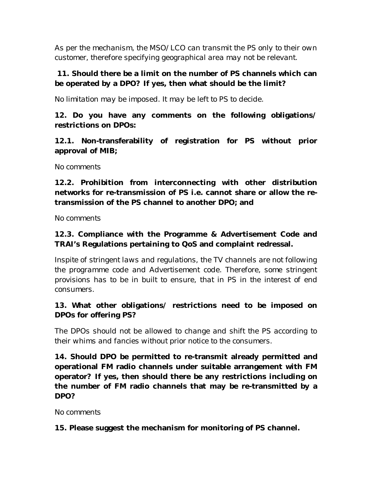*As per the mechanism, the MSO/LCO can transmit the PS only to their own customer, therefore specifying geographical area may not be relevant.*

# **11. Should there be a limit on the number of PS channels which can be operated by a DPO? If yes, then what should be the limit?**

*No limitation may be imposed. It may be left to PS to decide.*

**12. Do you have any comments on the following obligations/ restrictions on DPOs:**

**12.1. Non-transferability of registration for PS without prior approval of MIB;**

### *No comments*

**12.2. Prohibition from interconnecting with other distribution networks for re-transmission of PS i.e. cannot share or allow the retransmission of the PS channel to another DPO; and**

*No comments*

# **12.3. Compliance with the Programme & Advertisement Code and TRAI's Regulations pertaining to QoS and complaint redressal.**

*Inspite of stringent laws and regulations, the TV channels are not following the programme code and Advertisement code. Therefore, some stringent provisions has to be in built to ensure, that in PS in the interest of end consumers.*

# **13. What other obligations/ restrictions need to be imposed on DPOs for offering PS?**

*The DPOs should not be allowed to change and shift the PS according to their whims and fancies without prior notice to the consumers.*

**14. Should DPO be permitted to re-transmit already permitted and operational FM radio channels under suitable arrangement with FM operator? If yes, then should there be any restrictions including on the number of FM radio channels that may be re-transmitted by a DPO?**

### *No comments*

**15. Please suggest the mechanism for monitoring of PS channel.**